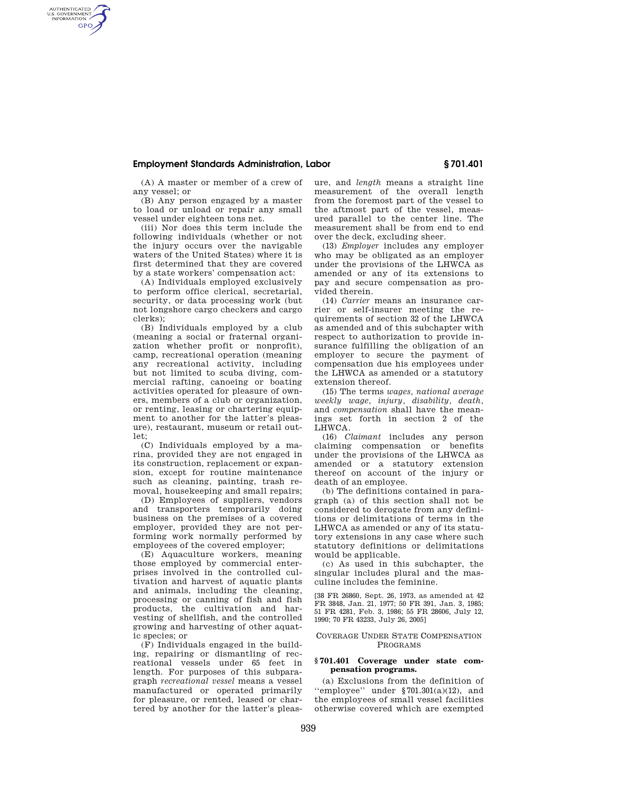# **Employment Standards Administration, Labor § 701.401**

(A) A master or member of a crew of any vessel; or

AUTHENTICATED<br>U.S. GOVERNMENT<br>INFORMATION **GPO** 

> (B) Any person engaged by a master to load or unload or repair any small vessel under eighteen tons net.

> (iii) Nor does this term include the following individuals (whether or not the injury occurs over the navigable waters of the United States) where it is first determined that they are covered by a state workers' compensation act:

> (A) Individuals employed exclusively to perform office clerical, secretarial, security, or data processing work (but not longshore cargo checkers and cargo clerks);

> (B) Individuals employed by a club (meaning a social or fraternal organization whether profit or nonprofit), camp, recreational operation (meaning any recreational activity, including but not limited to scuba diving, commercial rafting, canoeing or boating activities operated for pleasure of owners, members of a club or organization, or renting, leasing or chartering equipment to another for the latter's pleasure), restaurant, museum or retail outlet;

> (C) Individuals employed by a marina, provided they are not engaged in its construction, replacement or expansion, except for routine maintenance such as cleaning, painting, trash removal, housekeeping and small repairs;

> (D) Employees of suppliers, vendors and transporters temporarily doing business on the premises of a covered employer, provided they are not performing work normally performed by employees of the covered employer;

> (E) Aquaculture workers, meaning those employed by commercial enterprises involved in the controlled cultivation and harvest of aquatic plants and animals, including the cleaning, processing or canning of fish and fish products, the cultivation and harvesting of shellfish, and the controlled growing and harvesting of other aquatic species; or

> (F) Individuals engaged in the building, repairing or dismantling of recreational vessels under 65 feet in length. For purposes of this subparagraph *recreational vessel* means a vessel manufactured or operated primarily for pleasure, or rented, leased or chartered by another for the latter's pleas

ure, and *length* means a straight line measurement of the overall length from the foremost part of the vessel to the aftmost part of the vessel, measured parallel to the center line. The measurement shall be from end to end over the deck, excluding sheer.

(13) *Employer* includes any employer who may be obligated as an employer under the provisions of the LHWCA as amended or any of its extensions to pay and secure compensation as provided therein.

(14) *Carrier* means an insurance carrier or self-insurer meeting the requirements of section 32 of the LHWCA as amended and of this subchapter with respect to authorization to provide insurance fulfilling the obligation of an employer to secure the payment of compensation due his employees under the LHWCA as amended or a statutory extension thereof.

(15) The terms *wages, national average weekly wage, injury, disability, death,*  and *compensation* shall have the meanings set forth in section 2 of the LHWCA.

(16) *Claimant* includes any person claiming compensation or benefits under the provisions of the LHWCA as amended or a statutory extension thereof on account of the injury or death of an employee.

(b) The definitions contained in paragraph (a) of this section shall not be considered to derogate from any definitions or delimitations of terms in the LHWCA as amended or any of its statutory extensions in any case where such statutory definitions or delimitations would be applicable.

(c) As used in this subchapter, the singular includes plural and the masculine includes the feminine.

[38 FR 26860, Sept. 26, 1973, as amended at 42 FR 3848, Jan. 21, 1977; 50 FR 391, Jan. 3, 1985; 51 FR 4281, Feb. 3, 1986; 55 FR 28606, July 12, 1990; 70 FR 43233, July 26, 2005]

## COVERAGE UNDER STATE COMPENSATION PROGRAMS

### **§ 701.401 Coverage under state compensation programs.**

(a) Exclusions from the definition of 'employee'' under  $$701.301(a)(12)$ , and the employees of small vessel facilities otherwise covered which are exempted